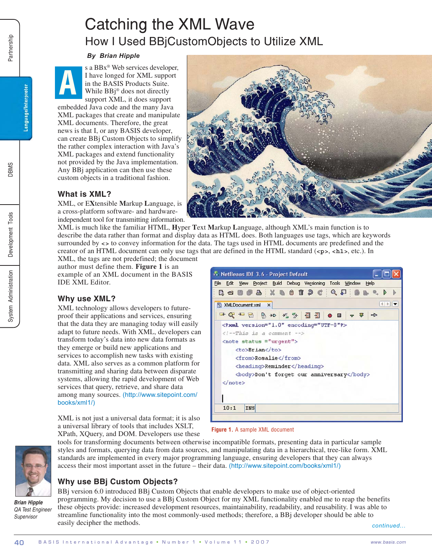# Catching the XML Wave How I Used BBjCustomObjects to Utilize XML

#### *By Brian Hipple*

**A** s a BBx® Web services developer, I have longed for XML support in the BASIS Products Suite. While BBj® does not directly support XML, it does support

embedded Java code and the many Java XML packages that create and manipulate XML documents. Therefore, the great news is that I, or any BASIS developer, can create BBj Custom Objects to simplify the rather complex interaction with Java's XML packages and extend functionality not provided by the Java implementation. Any BBj application can then use these custom objects in a traditional fashion.



# **What is XML?**

XML, or E**X**tensible **M**arkup **L**anguage, is a cross-platform software- and hardwareindependent tool for transmitting information.

XML is much like the familiar HTML, **H**yper **T**ext **M**arkup **L**anguage, although XML's main function is to describe the data rather than format and display data as HTML does. Both languages use tags, which are keywords surrounded by **<>** to convey information for the data. The tags used in HTML documents are predefined and the creator of an HTML document can only use tags that are defined in the HTML standard (**<p>**, **<h1>**, etc.). In

XML, the tags are not predefined; the document author must define them. **Figure 1** is an example of an XML document in the BASIS IDE XML Editor.

# **Why use XML?**

XML technology allows developers to futureproof their applications and services, ensuring that the data they are managing today will easily adapt to future needs. With XML, developers can transform today's data into new data formats as they emerge or build new applications and services to accomplish new tasks with existing data. XML also serves as a common platform for transmitting and sharing data between disparate systems, allowing the rapid development of Web services that query, retrieve, and share data among many sources. (http://www.sitepoint.com/ books/xml1/)

XML is not just a universal data format; it is also a universal library of tools that includes XSLT, XPath, XQuery, and DOM. Developers use these



**Figure 1.** A sample XML document



*Brian Hipple QA Test Engineer Supervisor*

tools for transforming documents between otherwise incompatible formats, presenting data in particular sample styles and formats, querying data from data sources, and manipulating data in a hierarchical, tree-like form. XML standards are implemented in every major programming language, ensuring developers that they can always access their most important asset in the future – their data. (http://www.sitepoint.com/books/xml1/)

# **Why use BBj Custom Objects?**

BBj version 6.0 introduced BBj Custom Objects that enable developers to make use of object-oriented programming. My decision to use a BBj Custom Object for my XML functionality enabled me to reap the benefits these objects provide: increased development resources, maintainability, readability, and reusability. I was able to streamline functionality into the most commonly-used methods; therefore, a BBj developer should be able to easily decipher the methods.

*continued...*

**SMBC** 

Language/Interpreter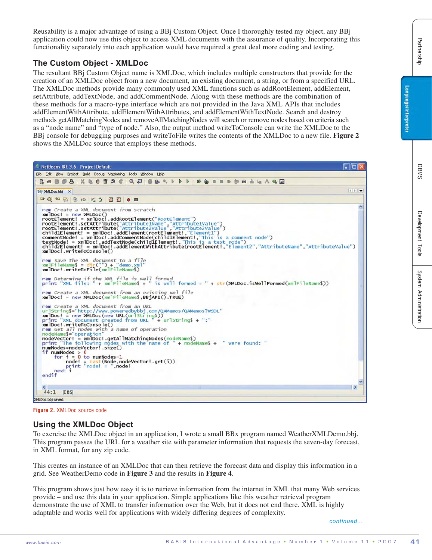Reusability is a major advantage of using a BBj Custom Object. Once I thoroughly tested my object, any BBj application could now use this object to access XML documents with the assurance of quality. Incorporating this functionality separately into each application would have required a great deal more coding and testing.

## **The Custom Object - XMLDoc**

The resultant BBj Custom Object name is XMLDoc, which includes multiple constructors that provide for the creation of an XMLDoc object from a new document, an existing document, a string, or from a specified URL. The XMLDoc methods provide many commonly used XML functions such as addRootElement, addElement, setAttribute, addTextNode, and addCommentNode. Along with these methods are the combination of these methods for a macro-type interface which are not provided in the Java XML APIs that includes addElementWithAttribute, addElementWithAttributes, and addElementWithTextNode. Search and destroy methods getAllMatchingNodes and removeAllMatchingNodes will search or remove nodes based on criteria such as a "node name" and "type of node." Also, the output method writeToConsole can write the XMLDoc to the BBj console for debugging purposes and writeToFile writes the contents of the XMLDoc to a new file. **Figure 2** shows the XMLDoc source that employs these methods.



**Figure 2.** XMLDoc source code

## **Using the XMLDoc Object**

To exercise the XMLDoc object in an application, I wrote a small BBx program named WeatherXMLDemo.bbj. This program passes the URL for a weather site with parameter information that requests the seven-day forecast, in XML format, for any zip code.

This creates an instance of an XMLDoc that can then retrieve the forecast data and display this information in a grid. See WeatherDemo code in **Figure 3** and the results in **Figure 4**.

This program shows just how easy it is to retrieve information from the internet in XML that many Web services provide – and use this data in your application. Simple applications like this weather retrieval program demonstrate the use of XML to transfer information over the Web, but it does not end there. XML is highly adaptable and works well for applications with widely differing degrees of complexity.

*continued...*